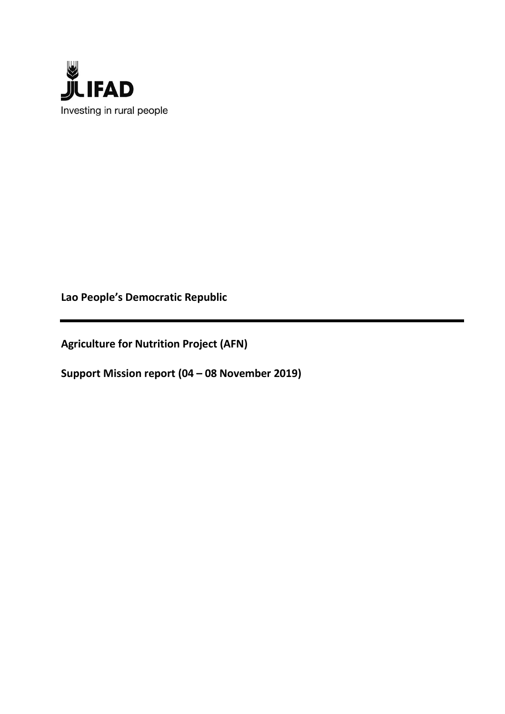

**Lao People's Democratic Republic**

**Agriculture for Nutrition Project (AFN)**

**Support Mission report (04 – 08 November 2019)**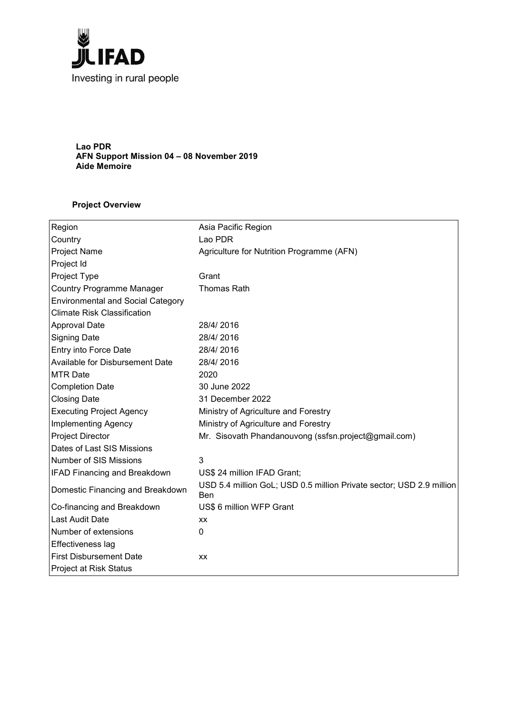

#### **Lao PDR AFN Support Mission 04 – 08 November 2019 Aide Memoire**

## **Project Overview**

| Region                                   | Asia Pacific Region                                                         |
|------------------------------------------|-----------------------------------------------------------------------------|
| Country                                  | Lao PDR                                                                     |
| Project Name                             | Agriculture for Nutrition Programme (AFN)                                   |
| Project Id                               |                                                                             |
| Project Type                             | Grant                                                                       |
| <b>Country Programme Manager</b>         | <b>Thomas Rath</b>                                                          |
| <b>Environmental and Social Category</b> |                                                                             |
| <b>Climate Risk Classification</b>       |                                                                             |
| <b>Approval Date</b>                     | 28/4/2016                                                                   |
| <b>Signing Date</b>                      | 28/4/2016                                                                   |
| Entry into Force Date                    | 28/4/2016                                                                   |
| Available for Disbursement Date          | 28/4/2016                                                                   |
| <b>MTR Date</b>                          | 2020                                                                        |
| <b>Completion Date</b>                   | 30 June 2022                                                                |
| <b>Closing Date</b>                      | 31 December 2022                                                            |
| <b>Executing Project Agency</b>          | Ministry of Agriculture and Forestry                                        |
| <b>Implementing Agency</b>               | Ministry of Agriculture and Forestry                                        |
| Project Director                         | Mr. Sisovath Phandanouvong (ssfsn.project@gmail.com)                        |
| Dates of Last SIS Missions               |                                                                             |
| Number of SIS Missions                   | 3                                                                           |
| IFAD Financing and Breakdown             | US\$ 24 million IFAD Grant;                                                 |
| Domestic Financing and Breakdown         | USD 5.4 million GoL; USD 0.5 million Private sector; USD 2.9 million<br>Ben |
| Co-financing and Breakdown               | US\$ 6 million WFP Grant                                                    |
| Last Audit Date                          | XX                                                                          |
| Number of extensions                     | 0                                                                           |
| Effectiveness lag                        |                                                                             |
| <b>First Disbursement Date</b>           | XX                                                                          |
| Project at Risk Status                   |                                                                             |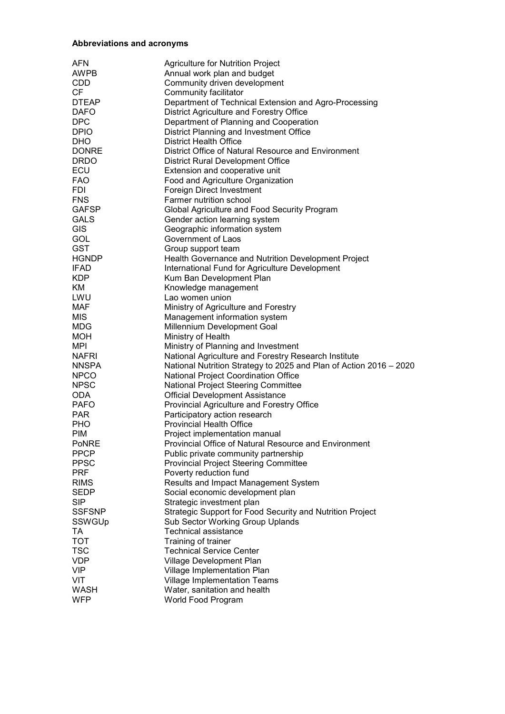#### **Abbreviations and acronyms**

| <b>AFN</b>    | <b>Agriculture for Nutrition Project</b>                           |
|---------------|--------------------------------------------------------------------|
| <b>AWPB</b>   | Annual work plan and budget                                        |
| <b>CDD</b>    | Community driven development                                       |
| CF            | Community facilitator                                              |
| <b>DTEAP</b>  | Department of Technical Extension and Agro-Processing              |
| <b>DAFO</b>   | District Agriculture and Forestry Office                           |
| <b>DPC</b>    |                                                                    |
|               | Department of Planning and Cooperation                             |
| <b>DPIO</b>   | District Planning and Investment Office                            |
| <b>DHO</b>    | <b>District Health Office</b>                                      |
| <b>DONRE</b>  | District Office of Natural Resource and Environment                |
| <b>DRDO</b>   | <b>District Rural Development Office</b>                           |
| ECU           | Extension and cooperative unit                                     |
| <b>FAO</b>    | Food and Agriculture Organization                                  |
| <b>FDI</b>    | Foreign Direct Investment                                          |
| <b>FNS</b>    | Farmer nutrition school                                            |
| <b>GAFSP</b>  | Global Agriculture and Food Security Program                       |
| <b>GALS</b>   | Gender action learning system                                      |
| GIS           | Geographic information system                                      |
| GOL           | Government of Laos                                                 |
| <b>GST</b>    | Group support team                                                 |
| <b>HGNDP</b>  | Health Governance and Nutrition Development Project                |
| <b>IFAD</b>   | International Fund for Agriculture Development                     |
| <b>KDP</b>    | Kum Ban Development Plan                                           |
| KM            | Knowledge management                                               |
| LWU           | Lao women union                                                    |
| <b>MAF</b>    | Ministry of Agriculture and Forestry                               |
| MIS           | Management information system                                      |
| MDG           | Millennium Development Goal                                        |
| MOH           | Ministry of Health                                                 |
| MPI           | Ministry of Planning and Investment                                |
| <b>NAFRI</b>  | National Agriculture and Forestry Research Institute               |
| <b>NNSPA</b>  | National Nutrition Strategy to 2025 and Plan of Action 2016 - 2020 |
| <b>NPCO</b>   | National Project Coordination Office                               |
| <b>NPSC</b>   | <b>National Project Steering Committee</b>                         |
| <b>ODA</b>    | <b>Official Development Assistance</b>                             |
| <b>PAFO</b>   | Provincial Agriculture and Forestry Office                         |
| <b>PAR</b>    | Participatory action research                                      |
| <b>PHO</b>    | <b>Provincial Health Office</b>                                    |
| <b>PIM</b>    | Project implementation manual                                      |
| <b>PoNRE</b>  | Provincial Office of Natural Resource and Environment              |
| <b>PPCP</b>   | Public private community partnership                               |
| <b>PPSC</b>   | <b>Provincial Project Steering Committee</b>                       |
| <b>PRF</b>    | Poverty reduction fund                                             |
| <b>RIMS</b>   | Results and Impact Management System                               |
| <b>SEDP</b>   | Social economic development plan                                   |
| <b>SIP</b>    | Strategic investment plan                                          |
| <b>SSFSNP</b> | Strategic Support for Food Security and Nutrition Project          |
| SSWGUp        | Sub Sector Working Group Uplands                                   |
| TA            | <b>Technical assistance</b>                                        |
| <b>TOT</b>    | Training of trainer                                                |
| <b>TSC</b>    | <b>Technical Service Center</b>                                    |
| <b>VDP</b>    | Village Development Plan                                           |
| <b>VIP</b>    | Village Implementation Plan                                        |
| VIT           | Village Implementation Teams                                       |
| <b>WASH</b>   | Water, sanitation and health                                       |
| <b>WFP</b>    | World Food Program                                                 |
|               |                                                                    |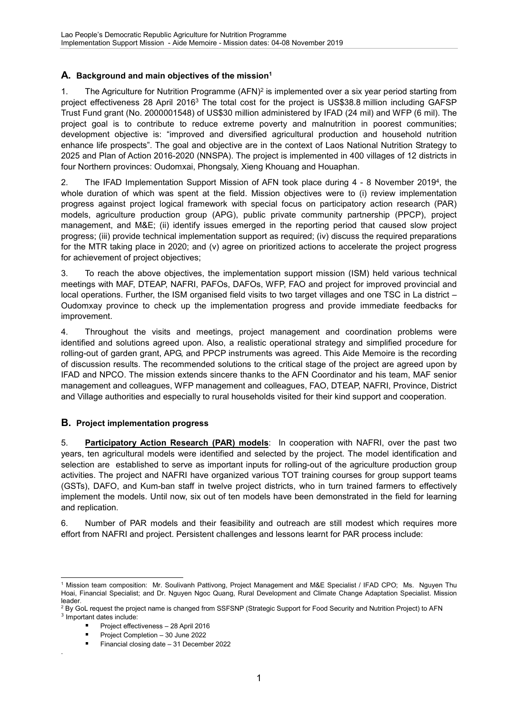### **A. Background and main objectives of the mission<sup>1</sup>**

1. The Agriculture for Nutrition Programme (AFN)<sup>2</sup> is implemented over a six year period starting from project effectiveness 28 April 2016<sup>3</sup> The total cost for the project is US\$38.8 million including GAFSP Trust Fund grant (No. 2000001548) of US\$30 million administered by IFAD (24 mil) and WFP (6 mil). The project goal is to contribute to reduce extreme poverty and malnutrition in poorest communities; development objective is: "improved and diversified agricultural production and household nutrition enhance life prospects". The goal and objective are in the context of Laos National Nutrition Strategy to 2025 and Plan of Action 2016-2020 (NNSPA). The project is implemented in 400 villages of 12 districts in four Northern provinces: Oudomxai, Phongsaly, Xieng Khouang and Houaphan.

2. The IFAD Implementation Support Mission of AFN took place during 4 - 8 November 2019<sup>4</sup>, the whole duration of which was spent at the field. Mission objectives were to (i) review implementation progress against project logical framework with special focus on participatory action research (PAR) models, agriculture production group (APG), public private community partnership (PPCP), project management, and M&E; (ii) identify issues emerged in the reporting period that caused slow project progress; (iii) provide technical implementation support as required; (iv) discuss the required preparations for the MTR taking place in 2020; and (v) agree on prioritized actions to accelerate the project progress for achievement of project objectives;

3. To reach the above objectives, the implementation support mission (ISM) held various technical meetings with MAF, DTEAP, NAFRI, PAFOs, DAFOs, WFP, FAO and project for improved provincial and local operations. Further, the ISM organised field visits to two target villages and one TSC in La district – Oudomxay province to check up the implementation progress and provide immediate feedbacks for improvement.

4. Throughout the visits and meetings, project management and coordination problems were identified and solutions agreed upon. Also, a realistic operational strategy and simplified procedure for rolling-out of garden grant, APG, and PPCP instruments was agreed. This Aide Memoire is the recording of discussion results. The recommended solutions to the critical stage of the project are agreed upon by IFAD and NPCO. The mission extends sincere thanks to the AFN Coordinator and his team, MAF senior management and colleagues, WFP management and colleagues, FAO, DTEAP, NAFRI, Province, District and Village authorities and especially to rural households visited for their kind support and cooperation.

### **B. Project implementation progress**

5. **Participatory Action Research (PAR) models**: In cooperation with NAFRI, over the past two years, ten agricultural models were identified and selected by the project. The model identification and selection are established to serve as important inputs for rolling-out of the agriculture production group activities. The project and NAFRI have organized various TOT training courses for group support teams (GSTs), DAFO, and Kum-ban staff in twelve project districts, who in turn trained farmers to effectively implement the models. Until now, six out of ten models have been demonstrated in the field for learning and replication.

6. Number of PAR models and their feasibility and outreach are still modest which requires more effort from NAFRI and project. Persistent challenges and lessons learnt for PAR process include:

.

 1 Mission team composition: Mr. Soulivanh Pattivong, Project Management and M&E Specialist / IFAD CPO; Ms. Nguyen Thu Hoai, Financial Specialist; and Dr. Nguyen Ngoc Quang, Rural Development and Climate Change Adaptation Specialist. Mission leader.

 $^2$  By GoL request the project name is changed from SSFSNP (Strategic Support for Food Security and Nutrition Project) to AFN 3 Important dates include:

Project effectiveness – 28 April 2016

Project Completion – 30 June 2022

<sup>■</sup> Financial closing date – 31 December 2022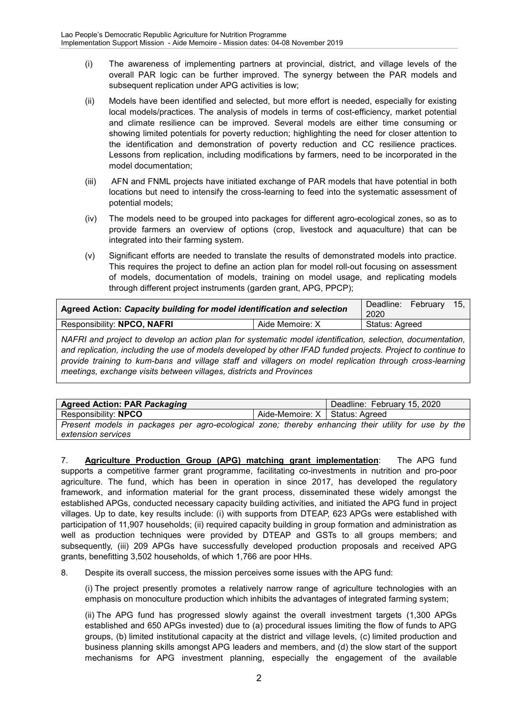- (i) The awareness of implementing partners at provincial, district, and village levels of the overall PAR logic can be further improved. The synergy between the PAR models and subsequent replication under APG activities is low;
- (ii) Models have been identified and selected, but more effort is needed, especially for existing local models/practices. The analysis of models in terms of cost-efficiency, market potential and climate resilience can be improved. Several models are either time consuming or showing limited potentials for poverty reduction; highlighting the need for closer attention to the identification and demonstration of poverty reduction and CC resilience practices. Lessons from replication, including modifications by farmers, need to be incorporated in the model documentation;
- (iii) AFN and FNML projects have initiated exchange of PAR models that have potential in both locations but need to intensify the cross-learning to feed into the systematic assessment of potential models;
- (iv) The models need to be grouped into packages for different agro-ecological zones, so as to provide farmers an overview of options (crop, livestock and aquaculture) that can be integrated into their farming system.
- (v) Significant efforts are needed to translate the results of demonstrated models into practice. This requires the project to define an action plan for model roll-out focusing on assessment of models, documentation of models, training on model usage, and replicating models through different project instruments (garden grant, APG, PPCP);

| Agreed Action: Capacity building for model identification and selection |                 | Deadline: February 15,<br>2020 |  |
|-------------------------------------------------------------------------|-----------------|--------------------------------|--|
| Responsibility: <b>NPCO, NAFRI</b>                                      | Aide Memoire: X | Status: Agreed                 |  |

*NAFRI and project to develop an action plan for systematic model identification, selection, documentation, and replication, including the use of models developed by other IFAD funded projects. Project to continue to provide training to kum-bans and village staff and villagers on model replication through cross-learning meetings, exchange visits between villages, districts and Provinces*

| <b>Agreed Action: PAR Packaging</b>                                                                 |                                  | Deadline: February 15, 2020 |
|-----------------------------------------------------------------------------------------------------|----------------------------------|-----------------------------|
| Responsibility: <b>NPCO</b>                                                                         | Aide-Memoire: X   Status: Agreed |                             |
| Present models in packages per agro-ecological zone; thereby enhancing their utility for use by the |                                  |                             |
| extension services                                                                                  |                                  |                             |

7. **Agriculture Production Group (APG) matching grant implementation**: The APG fund supports a competitive farmer grant programme, facilitating co-investments in nutrition and pro-poor agriculture. The fund, which has been in operation in since 2017, has developed the regulatory framework, and information material for the grant process, disseminated these widely amongst the established APGs, conducted necessary capacity building activities, and initiated the APG fund in project villages. Up to date, key results include: (i) with supports from DTEAP, 623 APGs were established with participation of 11,907 households; (ii) required capacity building in group formation and administration as well as production techniques were provided by DTEAP and GSTs to all groups members; and subsequently, (iii) 209 APGs have successfully developed production proposals and received APG grants, benefitting 3,502 households, of which 1,766 are poor HHs.

8. Despite its overall success, the mission perceives some issues with the APG fund:

(i) The project presently promotes a relatively narrow range of agriculture technologies with an emphasis on monoculture production which inhibits the advantages of integrated farming system;

(ii) The APG fund has progressed slowly against the overall investment targets (1,300 APGs established and 650 APGs invested) due to (a) procedural issues limiting the flow of funds to APG groups, (b) limited institutional capacity at the district and village levels, (c) limited production and business planning skills amongst APG leaders and members, and (d) the slow start of the support mechanisms for APG investment planning, especially the engagement of the available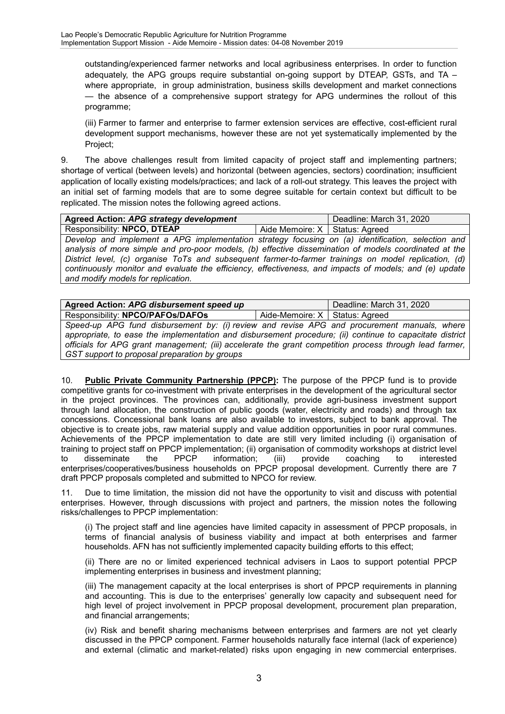outstanding/experienced farmer networks and local agribusiness enterprises. In order to function adequately, the APG groups require substantial on-going support by DTEAP, GSTs, and TA where appropriate, in group administration, business skills development and market connections — the absence of a comprehensive support strategy for APG undermines the rollout of this programme;

(iii) Farmer to farmer and enterprise to farmer extension services are effective, cost-efficient rural development support mechanisms, however these are not yet systematically implemented by the Project;

9. The above challenges result from limited capacity of project staff and implementing partners; shortage of vertical (between levels) and horizontal (between agencies, sectors) coordination; insufficient application of locally existing models/practices; and lack of a roll-out strategy. This leaves the project with an initial set of farming models that are to some degree suitable for certain context but difficult to be replicated. The mission notes the following agreed actions.

| <b>Agreed Action: APG strategy development</b>                                                         |                                  | Deadline: March 31, 2020 |
|--------------------------------------------------------------------------------------------------------|----------------------------------|--------------------------|
| Responsibility: NPCO, DTEAP                                                                            | Aide Memoire: X   Status: Agreed |                          |
| Develop and implement a APG implementation strategy focusing on (a) identification, selection and      |                                  |                          |
| analysis of more simple and pro-poor models, (b) effective dissemination of models coordinated at the  |                                  |                          |
| District level, (c) organise ToTs and subsequent farmer-to-farmer trainings on model replication, (d)  |                                  |                          |
| continuously monitor and evaluate the efficiency, effectiveness, and impacts of models; and (e) update |                                  |                          |
| and modify models for replication.                                                                     |                                  |                          |

| Agreed Action: APG disbursement speed up                                                    |                                  | Deadline: March 31, 2020 |
|---------------------------------------------------------------------------------------------|----------------------------------|--------------------------|
| Responsibility: NPCO/PAFOs/DAFOs                                                            | Aide-Memoire: X   Status: Agreed |                          |
| Speed-up APG fund disbursement by: (i) review and revise APG and procurement manuals, where |                                  |                          |

*Speed-up APG fund disbursement by: (i) review and revise APG and procurement manuals, where appropriate, to ease the implementation and disbursement procedure; (ii) continue to capacitate district officials for APG grant management; (iii) accelerate the grant competition process through lead farmer, GST support to proposal preparation by groups* 

10. **Public Private Community Partnership (PPCP):** The purpose of the PPCP fund is to provide competitive grants for co-investment with private enterprises in the development of the agricultural sector in the project provinces. The provinces can, additionally, provide agri-business investment support through land allocation, the construction of public goods (water, electricity and roads) and through tax concessions. Concessional bank loans are also available to investors, subject to bank approval. The objective is to create jobs, raw material supply and value addition opportunities in poor rural communes. Achievements of the PPCP implementation to date are still very limited including (i) organisation of training to project staff on PPCP implementation; (ii) organisation of commodity workshops at district level<br>to disseminate the PPCP information; (iii) provide coaching to interested to disseminate the PPCP information; (iii) provide coaching to interested enterprises/cooperatives/business households on PPCP proposal development. Currently there are 7 draft PPCP proposals completed and submitted to NPCO for review.

Due to time limitation, the mission did not have the opportunity to visit and discuss with potential enterprises. However, through discussions with project and partners, the mission notes the following risks/challenges to PPCP implementation:

(i) The project staff and line agencies have limited capacity in assessment of PPCP proposals, in terms of financial analysis of business viability and impact at both enterprises and farmer households. AFN has not sufficiently implemented capacity building efforts to this effect;

(ii) There are no or limited experienced technical advisers in Laos to support potential PPCP implementing enterprises in business and investment planning;

(iii) The management capacity at the local enterprises is short of PPCP requirements in planning and accounting. This is due to the enterprises' generally low capacity and subsequent need for high level of project involvement in PPCP proposal development, procurement plan preparation, and financial arrangements;

(iv) Risk and benefit sharing mechanisms between enterprises and farmers are not yet clearly discussed in the PPCP component. Farmer households naturally face internal (lack of experience) and external (climatic and market-related) risks upon engaging in new commercial enterprises.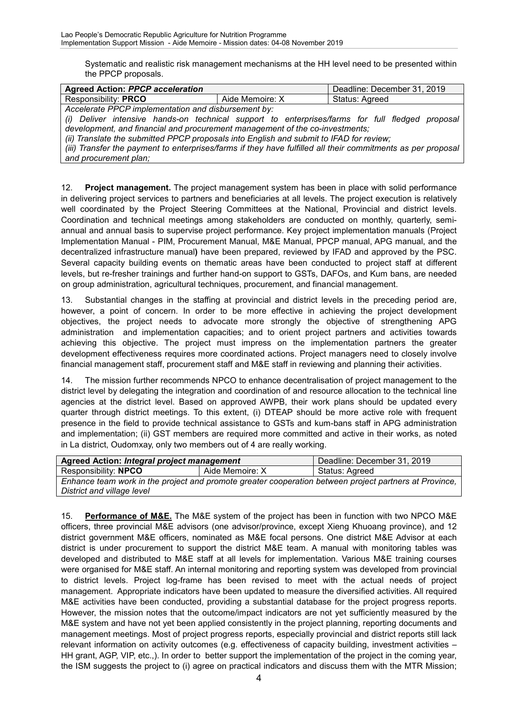Systematic and realistic risk management mechanisms at the HH level need to be presented within the PPCP proposals.

| <b>Agreed Action: PPCP acceleration</b>                                                                      |                 | Deadline: December 31, 2019 |
|--------------------------------------------------------------------------------------------------------------|-----------------|-----------------------------|
| Responsibility: PRCO                                                                                         | Aide Memoire: X | Status: Agreed              |
| Accelerate PPCP implementation and disbursement by:                                                          |                 |                             |
| (i) Deliver intensive hands-on technical support to enterprises/farms for full fledged                       |                 | proposal                    |
| development, and financial and procurement management of the co-investments;                                 |                 |                             |
| (ii) Translate the submitted PPCP proposals into English and submit to IFAD for review;                      |                 |                             |
| (iii) Transfer the payment to enterprises/farms if they have fulfilled all their commitments as per proposal |                 |                             |
| and procurement plan;                                                                                        |                 |                             |
|                                                                                                              |                 |                             |

12. **Project management.** The project management system has been in place with solid performance in delivering project services to partners and beneficiaries at all levels. The project execution is relatively well coordinated by the Project Steering Committees at the National, Provincial and district levels. Coordination and technical meetings among stakeholders are conducted on monthly, quarterly, semiannual and annual basis to supervise project performance. Key project implementation manuals (Project Implementation Manual - PIM, Procurement Manual, M&E Manual, PPCP manual, APG manual, and the decentralized infrastructure manual**)** have been prepared, reviewed by IFAD and approved by the PSC. Several capacity building events on thematic areas have been conducted to project staff at different levels, but re-fresher trainings and further hand-on support to GSTs, DAFOs, and Kum bans, are needed on group administration, agricultural techniques, procurement, and financial management.

13. Substantial changes in the staffing at provincial and district levels in the preceding period are, however, a point of concern. In order to be more effective in achieving the project development objectives, the project needs to advocate more strongly the objective of strengthening APG administration and implementation capacities; and to orient project partners and activities towards achieving this objective. The project must impress on the implementation partners the greater development effectiveness requires more coordinated actions. Project managers need to closely involve financial management staff, procurement staff and M&E staff in reviewing and planning their activities.

14. The mission further recommends NPCO to enhance decentralisation of project management to the district level by delegating the integration and coordination of and resource allocation to the technical line agencies at the district level. Based on approved AWPB, their work plans should be updated every quarter through district meetings. To this extent, (i) DTEAP should be more active role with frequent presence in the field to provide technical assistance to GSTs and kum-bans staff in APG administration and implementation; (ii) GST members are required more committed and active in their works, as noted in La district, Oudomxay, only two members out of 4 are really working.

| <b>Agreed Action: Integral project management</b>                                                      |                 | Deadline: December 31, 2019 |  |
|--------------------------------------------------------------------------------------------------------|-----------------|-----------------------------|--|
| Responsibility: <b>NPCO</b>                                                                            | Aide Memoire: X | Status: Agreed              |  |
| Enhance team work in the project and promote greater cooperation between project partners at Province, |                 |                             |  |
| District and village level                                                                             |                 |                             |  |

15. **Performance of M&E.** The M&E system of the project has been in function with two NPCO M&E officers, three provincial M&E advisors (one advisor/province, except Xieng Khuoang province), and 12 district government M&E officers, nominated as M&E focal persons. One district M&E Advisor at each district is under procurement to support the district M&E team. A manual with monitoring tables was developed and distributed to M&E staff at all levels for implementation. Various M&E training courses were organised for M&E staff. An internal monitoring and reporting system was developed from provincial to district levels. Project log-frame has been revised to meet with the actual needs of project management. Appropriate indicators have been updated to measure the diversified activities. All required M&E activities have been conducted, providing a substantial database for the project progress reports. However, the mission notes that the outcome/impact indicators are not yet sufficiently measured by the M&E system and have not yet been applied consistently in the project planning, reporting documents and management meetings. Most of project progress reports, especially provincial and district reports still lack relevant information on activity outcomes (e.g. effectiveness of capacity building, investment activities – HH grant, AGP, VIP, etc.,). In order to better support the implementation of the project in the coming year, the ISM suggests the project to (i) agree on practical indicators and discuss them with the MTR Mission;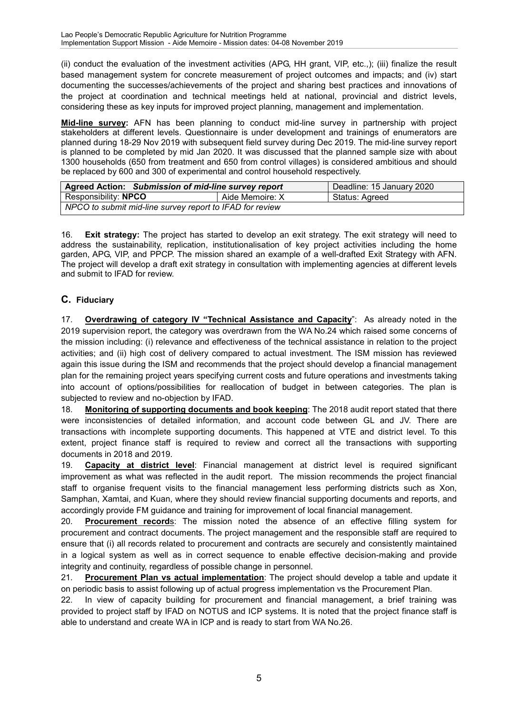(ii) conduct the evaluation of the investment activities (APG, HH grant, VIP, etc.,); (iii) finalize the result based management system for concrete measurement of project outcomes and impacts; and (iv) start documenting the successes/achievements of the project and sharing best practices and innovations of the project at coordination and technical meetings held at national, provincial and district levels, considering these as key inputs for improved project planning, management and implementation.

**Mid-line survey:** AFN has been planning to conduct mid-line survey in partnership with project stakeholders at different levels. Questionnaire is under development and trainings of enumerators are planned during 18-29 Nov 2019 with subsequent field survey during Dec 2019. The mid-line survey report is planned to be completed by mid Jan 2020. It was discussed that the planned sample size with about 1300 households (650 from treatment and 650 from control villages) is considered ambitious and should be replaced by 600 and 300 of experimental and control household respectively.

| Agreed Action: Submission of mid-line survey report      |  | Deadline: 15 January 2020 |
|----------------------------------------------------------|--|---------------------------|
| Responsibility: <b>NPCO</b><br>Aide Memoire: X           |  | Status: Agreed            |
| NPCO to submit mid-line survey report to IFAD for review |  |                           |

16. **Exit strategy:** The project has started to develop an exit strategy. The exit strategy will need to address the sustainability, replication, institutionalisation of key project activities including the home garden, APG, VIP, and PPCP. The mission shared an example of a well-drafted Exit Strategy with AFN. The project will develop a draft exit strategy in consultation with implementing agencies at different levels and submit to IFAD for review.

## **C. Fiduciary**

17. **Overdrawing of category IV "Technical Assistance and Capacity**": As already noted in the 2019 supervision report, the category was overdrawn from the WA No.24 which raised some concerns of the mission including: (i) relevance and effectiveness of the technical assistance in relation to the project activities; and (ii) high cost of delivery compared to actual investment. The ISM mission has reviewed again this issue during the ISM and recommends that the project should develop a financial management plan for the remaining project years specifying current costs and future operations and investments taking into account of options/possibilities for reallocation of budget in between categories. The plan is subjected to review and no-objection by IFAD.

18. **Monitoring of supporting documents and book keeping**: The 2018 audit report stated that there were inconsistencies of detailed information, and account code between GL and JV. There are transactions with incomplete supporting documents. This happened at VTE and district level. To this extent, project finance staff is required to review and correct all the transactions with supporting documents in 2018 and 2019.

19. **Capacity at district level**: Financial management at district level is required significant improvement as what was reflected in the audit report. The mission recommends the project financial staff to organise frequent visits to the financial management less performing districts such as Xon, Samphan, Xamtai, and Kuan, where they should review financial supporting documents and reports, and accordingly provide FM guidance and training for improvement of local financial management.

20. **Procurement record**s: The mission noted the absence of an effective filling system for procurement and contract documents. The project management and the responsible staff are required to ensure that (i) all records related to procurement and contracts are securely and consistently maintained in a logical system as well as in correct sequence to enable effective decision-making and provide integrity and continuity, regardless of possible change in personnel.

21. **Procurement Plan vs actual implementation**: The project should develop a table and update it on periodic basis to assist following up of actual progress implementation vs the Procurement Plan.

22. In view of capacity building for procurement and financial management, a brief training was provided to project staff by IFAD on NOTUS and ICP systems. It is noted that the project finance staff is able to understand and create WA in ICP and is ready to start from WA No.26.